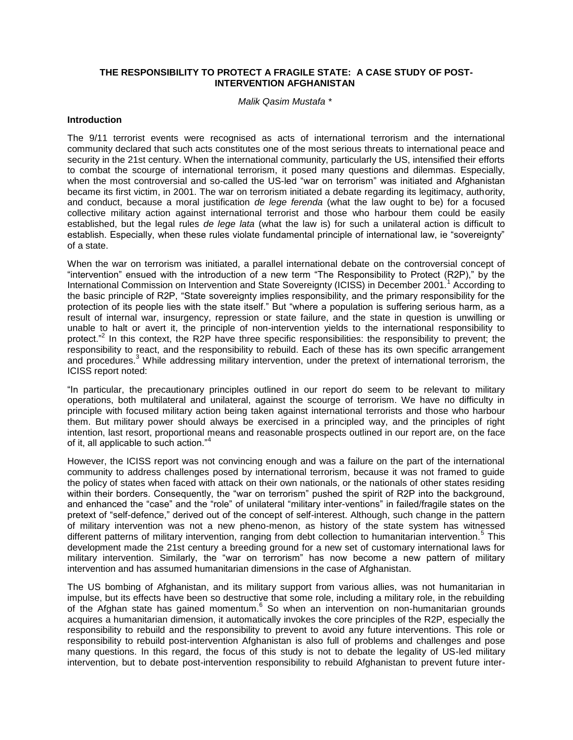## **THE RESPONSIBILITY TO PROTECT A FRAGILE STATE: A CASE STUDY OF POST-INTERVENTION AFGHANISTAN**

*Malik Qasim Mustafa \**

#### **Introduction**

The 9/11 terrorist events were recognised as acts of international terrorism and the international community declared that such acts constitutes one of the most serious threats to international peace and security in the 21st century. When the international community, particularly the US, intensified their efforts to combat the scourge of international terrorism, it posed many questions and dilemmas. Especially, when the most controversial and so-called the US-led "war on terrorism" was initiated and Afghanistan became its first victim, in 2001. The war on terrorism initiated a debate regarding its legitimacy, authority, and conduct, because a moral justification *de lege ferenda* (what the law ought to be) for a focused collective military action against international terrorist and those who harbour them could be easily established, but the legal rules *de lege lata* (what the law is) for such a unilateral action is difficult to establish. Especially, when these rules violate fundamental principle of international law, ie "sovereignty" of a state.

When the war on terrorism was initiated, a parallel international debate on the controversial concept of "intervention" ensued with the introduction of a new term "The Responsibility to Protect (R2P)," by the International Commission on Intervention and State Sovereignty (ICISS) in December 2001.<sup>1</sup> According to the basic principle of R2P, "State sovereignty implies responsibility, and the primary responsibility for the protection of its people lies with the state itself." But "where a population is suffering serious harm, as a result of internal war, insurgency, repression or state failure, and the state in question is unwilling or unable to halt or avert it, the principle of non-intervention yields to the international responsibility to protect."<sup>2</sup> In this context, the R2P have three specific responsibilities: the responsibility to prevent; the responsibility to react, and the responsibility to rebuild. Each of these has its own specific arrangement and procedures.<sup>3</sup> While addressing military intervention, under the pretext of international terrorism, the ICISS report noted:

"In particular, the precautionary principles outlined in our report do seem to be relevant to military operations, both multilateral and unilateral, against the scourge of terrorism. We have no difficulty in principle with focused military action being taken against international terrorists and those who harbour them. But military power should always be exercised in a principled way, and the principles of right intention, last resort, proportional means and reasonable prospects outlined in our report are, on the face of it, all applicable to such action."<sup>4</sup>

However, the ICISS report was not convincing enough and was a failure on the part of the international community to address challenges posed by international terrorism, because it was not framed to guide the policy of states when faced with attack on their own nationals, or the nationals of other states residing within their borders. Consequently, the "war on terrorism" pushed the spirit of R2P into the background, and enhanced the "case" and the "role" of unilateral "military inter-ventions" in failed/fragile states on the pretext of "self-defence," derived out of the concept of self-interest. Although, such change in the pattern of military intervention was not a new pheno-menon, as history of the state system has witnessed different patterns of military intervention, ranging from debt collection to humanitarian intervention.<sup>5</sup> This development made the 21st century a breeding ground for a new set of customary international laws for military intervention. Similarly, the "war on terrorism" has now become a new pattern of military intervention and has assumed humanitarian dimensions in the case of Afghanistan.

The US bombing of Afghanistan, and its military support from various allies, was not humanitarian in impulse, but its effects have been so destructive that some role, including a military role, in the rebuilding of the Afghan state has gained momentum.<sup>6</sup> So when an intervention on non-humanitarian grounds acquires a humanitarian dimension, it automatically invokes the core principles of the R2P, especially the responsibility to rebuild and the responsibility to prevent to avoid any future interventions. This role or responsibility to rebuild post-intervention Afghanistan is also full of problems and challenges and pose many questions. In this regard, the focus of this study is not to debate the legality of US-led military intervention, but to debate post-intervention responsibility to rebuild Afghanistan to prevent future inter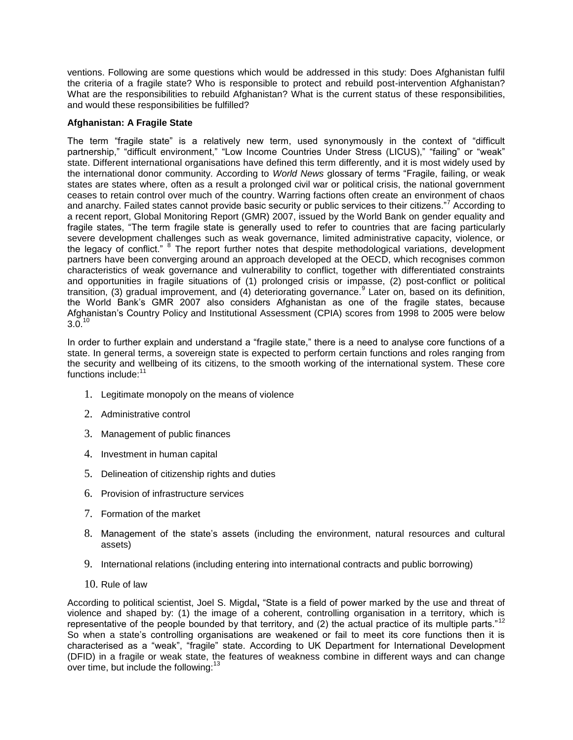ventions. Following are some questions which would be addressed in this study: Does Afghanistan fulfil the criteria of a fragile state? Who is responsible to protect and rebuild post-intervention Afghanistan? What are the responsibilities to rebuild Afghanistan? What is the current status of these responsibilities, and would these responsibilities be fulfilled?

## **Afghanistan: A Fragile State**

The term "fragile state" is a relatively new term, used synonymously in the context of "difficult partnership," "difficult environment," "Low Income Countries Under Stress (LICUS)," "failing" or "weak" state. Different international organisations have defined this term differently, and it is most widely used by the international donor community. According to World News glossary of terms "Fragile, failing, or weak states are states where, often as a result a prolonged civil war or political crisis, the national government ceases to retain control over much of the country. Warring factions often create an environment of chaos and anarchy. Failed states cannot provide basic security or public services to their citizens."<sup>7</sup> According to a recent report, Global Monitoring Report (GMR) 2007, issued by the World Bank on gender equality and fragile states, "The term fragile state is generally used to refer to countries that are facing particularly severe development challenges such as weak governance, limited administrative capacity, violence, or the legacy of conflict." <sup>8</sup> The report further notes that despite methodological variations, development partners have been converging around an approach developed at the OECD, which recognises common characteristics of weak governance and vulnerability to conflict, together with differentiated constraints and opportunities in fragile situations of (1) prolonged crisis or impasse, (2) post-conflict or political transition, (3) gradual improvement, and (4) deteriorating governance.<sup>9</sup> Later on, based on its definition, the World Bank's GMR 2007 also considers Afghanistan as one of the fragile states, because Afghanistan's Country Policy and Institutional Assessment (CPIA) scores from 1998 to 2005 were below  $3.0^{10}$ 

In order to further explain and understand a "fragile state," there is a need to analyse core functions of a state. In general terms, a sovereign state is expected to perform certain functions and roles ranging from the security and wellbeing of its citizens, to the smooth working of the international system. These core functions include:<sup>11</sup>

- 1. Legitimate monopoly on the means of violence
- 2. Administrative control
- 3. Management of public finances
- 4. Investment in human capital
- 5. Delineation of citizenship rights and duties
- 6. Provision of infrastructure services
- 7. Formation of the market
- 8. Management of the state's assets (including the environment, natural resources and cultural assets)
- 9. International relations (including entering into international contracts and public borrowing)
- 10. Rule of law

According to political scientist, Joel S. Migdal, "State is a field of power marked by the use and threat of violence and shaped by: (1) the image of a coherent, controlling organisation in a territory, which is representative of the people bounded by that territory, and (2) the actual practice of its multiple parts."<sup>12</sup> So when a state's controlling organisations are weakened or fail to meet its core functions then it is characterised as a "weak", "fragile" state. According to UK Department for International Development (DFID) in a fragile or weak state, the features of weakness combine in different ways and can change over time, but include the following: $13$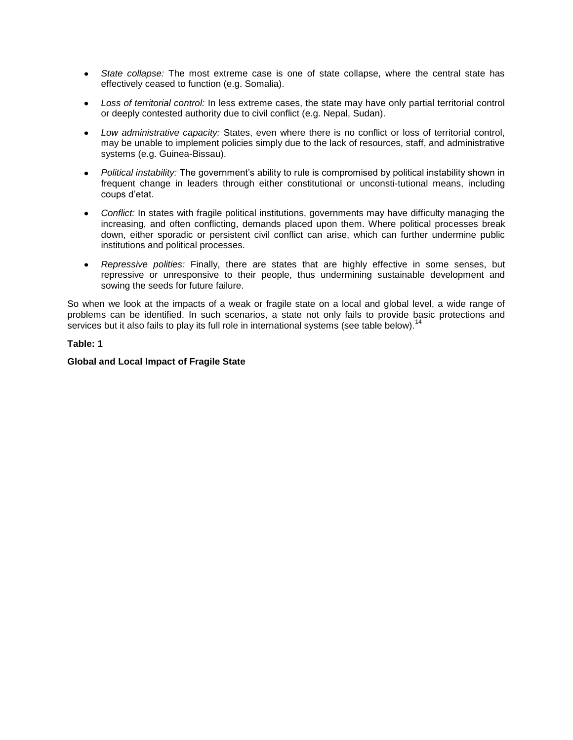- *State collapse:* The most extreme case is one of state collapse, where the central state has effectively ceased to function (e.g. Somalia).
- *Loss of territorial control:* In less extreme cases, the state may have only partial territorial control or deeply contested authority due to civil conflict (e.g. Nepal, Sudan).
- *Low administrative capacity:* States, even where there is no conflict or loss of territorial control, may be unable to implement policies simply due to the lack of resources, staff, and administrative systems (e.g. Guinea-Bissau).
- *Political instability:* The government's ability to rule is compromised by political instability shown in frequent change in leaders through either constitutional or unconsti-tutional means, including coups d'etat.
- *Conflict:* In states with fragile political institutions, governments may have difficulty managing the increasing, and often conflicting, demands placed upon them. Where political processes break down, either sporadic or persistent civil conflict can arise, which can further undermine public institutions and political processes.
- *Repressive polities:* Finally, there are states that are highly effective in some senses, but repressive or unresponsive to their people, thus undermining sustainable development and sowing the seeds for future failure.

So when we look at the impacts of a weak or fragile state on a local and global level, a wide range of problems can be identified. In such scenarios, a state not only fails to provide basic protections and services but it also fails to play its full role in international systems (see table below).<sup>14</sup>

## **Table: 1**

## **Global and Local Impact of Fragile State**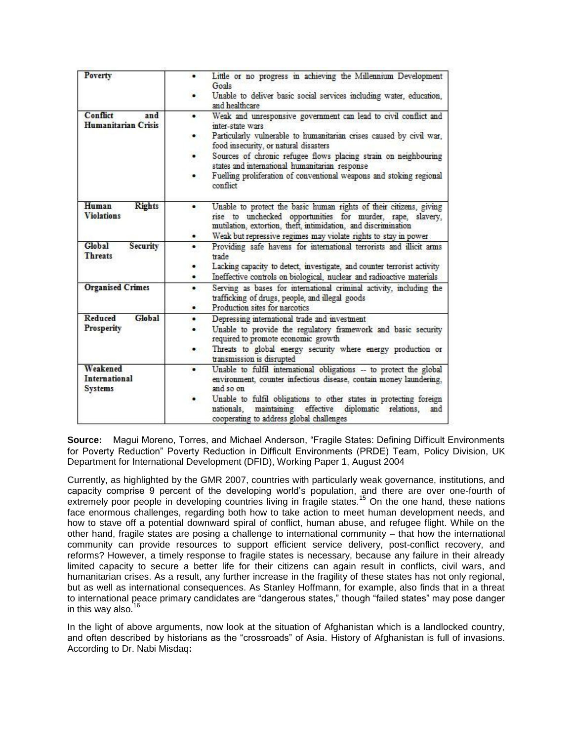| <b>Poverty</b>                                     | Little or no progress in achieving the Millennium Development<br>Goals                                                                                                                             |
|----------------------------------------------------|----------------------------------------------------------------------------------------------------------------------------------------------------------------------------------------------------|
|                                                    | Unable to deliver basic social services including water, education,<br>and healthcare                                                                                                              |
| Conflict<br>and<br><b>Humanitarian Crisis</b>      | Weak and unresponsive government can lead to civil conflict and<br>inter-state wars                                                                                                                |
|                                                    | Particularly vulnerable to humanitarian crises caused by civil war,<br>food insecurity, or natural disasters                                                                                       |
|                                                    | Sources of chronic refugee flows placing strain on neighbouring<br>٠<br>states and international humanitarian response                                                                             |
|                                                    | Fuelling proliferation of conventional weapons and stoking regional<br>$\bullet$<br>conflict                                                                                                       |
| Human<br><b>Rights</b><br><b>Violations</b>        | Unable to protect the basic human rights of their citizens, giving<br>rise to unchecked opportunities for murder, rape, slavery,<br>mutilation, extortion, theft, intimidation, and discrimination |
|                                                    | Weak but repressive regimes may violate rights to stay in power                                                                                                                                    |
| Global<br>Security<br><b>Threats</b>               | Providing safe havens for international terrorists and illicit arms<br>$\bullet$<br>trade                                                                                                          |
|                                                    | Lacking capacity to detect, investigate, and counter terrorist activity<br>Ineffective controls on biological, nuclear and radioactive materials                                                   |
| <b>Organised Crimes</b>                            | Serving as bases for international criminal activity, including the<br>٠<br>trafficking of drugs, people, and illegal goods<br>Production sites for narcotics<br>٠                                 |
| Global<br>Reduced<br>Prosperity                    | Depressing international trade and investment<br>٠                                                                                                                                                 |
|                                                    | Unable to provide the regulatory framework and basic security<br>required to promote economic growth                                                                                               |
|                                                    | Threats to global energy security where energy production or<br>transmission is disrupted                                                                                                          |
| Weakened<br><b>International</b><br><b>Systems</b> | Unable to fulfil international obligations -- to protect the global<br>٠<br>environment, counter infectious disease, contain money laundering,<br>and so on                                        |
|                                                    | Unable to fulfil obligations to other states in protecting foreign<br>maintaining effective<br>diplomatic relations.<br>nationals.<br>and<br>cooperating to address global challenges              |

**Source:** Magui Moreno, Torres, and Michael Anderson, "Fragile States: Defining Difficult Environments for Poverty Reduction" Poverty Reduction in Difficult Environments (PRDE) Team, Policy Division, UK Department for International Development (DFID), Working Paper 1, August 2004

Currently, as highlighted by the GMR 2007, countries with particularly weak governance, institutions, and capacity comprise 9 percent of the developing world's population, and there are over one-fourth of extremely poor people in developing countries living in fragile states.<sup>15</sup> On the one hand, these nations face enormous challenges, regarding both how to take action to meet human development needs, and how to stave off a potential downward spiral of conflict, human abuse, and refugee flight. While on the other hand, fragile states are posing a challenge to international community – that how the international community can provide resources to support efficient service delivery, post-conflict recovery, and reforms? However, a timely response to fragile states is necessary, because any failure in their already limited capacity to secure a better life for their citizens can again result in conflicts, civil wars, and humanitarian crises. As a result, any further increase in the fragility of these states has not only regional, but as well as international consequences. As Stanley Hoffmann, for example, also finds that in a threat to international peace primary candidates are "dangerous states," though "failed states" may pose danger in this way also. $16$ 

In the light of above arguments, now look at the situation of Afghanistan which is a landlocked country, and often described by historians as the "crossroads" of Asia. History of Afghanistan is full of invasions. According to Dr. Nabi Misdaq**:**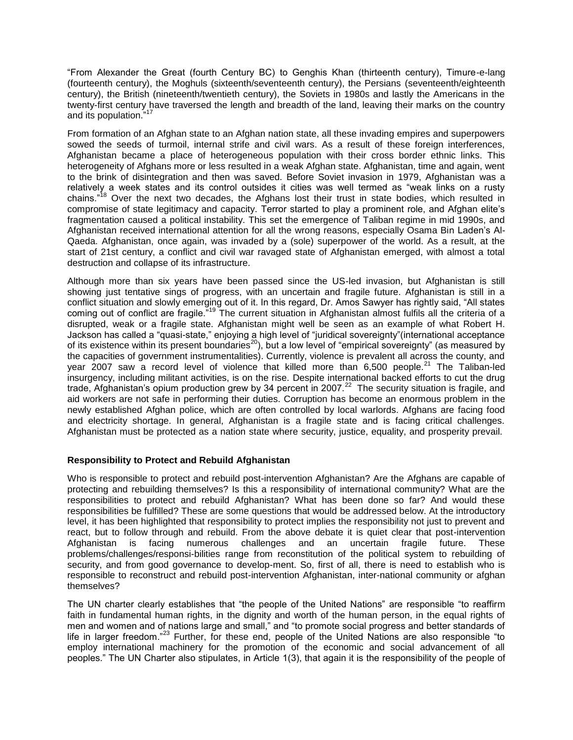―From Alexander the Great (fourth Century BC) to Genghis Khan (thirteenth century), Timure-e-lang (fourteenth century), the Moghuls (sixteenth/seventeenth century), the Persians (seventeenth/eighteenth century), the British (nineteenth/twentieth century), the Soviets in 1980s and lastly the Americans in the twenty-first century have traversed the length and breadth of the land, leaving their marks on the country and its population."<sup>17</sup>

From formation of an Afghan state to an Afghan nation state, all these invading empires and superpowers sowed the seeds of turmoil, internal strife and civil wars. As a result of these foreign interferences, Afghanistan became a place of heterogeneous population with their cross border ethnic links. This heterogeneity of Afghans more or less resulted in a weak Afghan state. Afghanistan, time and again, went to the brink of disintegration and then was saved. Before Soviet invasion in 1979, Afghanistan was a relatively a week states and its control outsides it cities was well termed as "weak links on a rusty chains."<sup>18</sup> Over the next two decades, the Afghans lost their trust in state bodies, which resulted in compromise of state legitimacy and capacity. Terror started to play a prominent role, and Afghan elite's fragmentation caused a political instability. This set the emergence of Taliban regime in mid 1990s, and Afghanistan received international attention for all the wrong reasons, especially Osama Bin Laden's Al-Qaeda. Afghanistan, once again, was invaded by a (sole) superpower of the world. As a result, at the start of 21st century, a conflict and civil war ravaged state of Afghanistan emerged, with almost a total destruction and collapse of its infrastructure.

Although more than six years have been passed since the US-led invasion, but Afghanistan is still showing just tentative sings of progress, with an uncertain and fragile future. Afghanistan is still in a conflict situation and slowly emerging out of it. In this regard, Dr. Amos Sawyer has rightly said, "All states coming out of conflict are fragile.<sup>719</sup> The current situation in Afghanistan almost fulfils all the criteria of a disrupted, weak or a fragile state. Afghanistan might well be seen as an example of what Robert H. Jackson has called a "quasi-state," enjoying a high level of "juridical sovereignty"(international acceptance of its existence within its present boundaries<sup>20</sup>), but a low level of "empirical sovereignty" (as measured by the capacities of government instrumentalities). Currently, violence is prevalent all across the county, and year 2007 saw a record level of violence that killed more than 6,500 people.<sup>21</sup> The Taliban-led insurgency, including militant activities, is on the rise. Despite international backed efforts to cut the drug trade, Afghanistan's opium production grew by 34 percent in 2007.<sup>22</sup> The security situation is fragile, and aid workers are not safe in performing their duties. Corruption has become an enormous problem in the newly established Afghan police, which are often controlled by local warlords. Afghans are facing food and electricity shortage. In general, Afghanistan is a fragile state and is facing critical challenges. Afghanistan must be protected as a nation state where security, justice, equality, and prosperity prevail.

# **Responsibility to Protect and Rebuild Afghanistan**

Who is responsible to protect and rebuild post-intervention Afghanistan? Are the Afghans are capable of protecting and rebuilding themselves? Is this a responsibility of international community? What are the responsibilities to protect and rebuild Afghanistan? What has been done so far? And would these responsibilities be fulfilled? These are some questions that would be addressed below. At the introductory level, it has been highlighted that responsibility to protect implies the responsibility not just to prevent and react, but to follow through and rebuild. From the above debate it is quiet clear that post-intervention Afghanistan is facing numerous challenges and an uncertain fragile future. These problems/challenges/responsi-bilities range from reconstitution of the political system to rebuilding of security, and from good governance to develop-ment. So, first of all, there is need to establish who is responsible to reconstruct and rebuild post-intervention Afghanistan, inter-national community or afghan themselves?

The UN charter clearly establishes that "the people of the United Nations" are responsible "to reaffirm faith in fundamental human rights, in the dignity and worth of the human person, in the equal rights of men and women and of nations large and small," and "to promote social progress and better standards of life in larger freedom."<sup>23</sup> Further, for these end, people of the United Nations are also responsible "to employ international machinery for the promotion of the economic and social advancement of all peoples.‖ The UN Charter also stipulates, in Article 1(3), that again it is the responsibility of the people of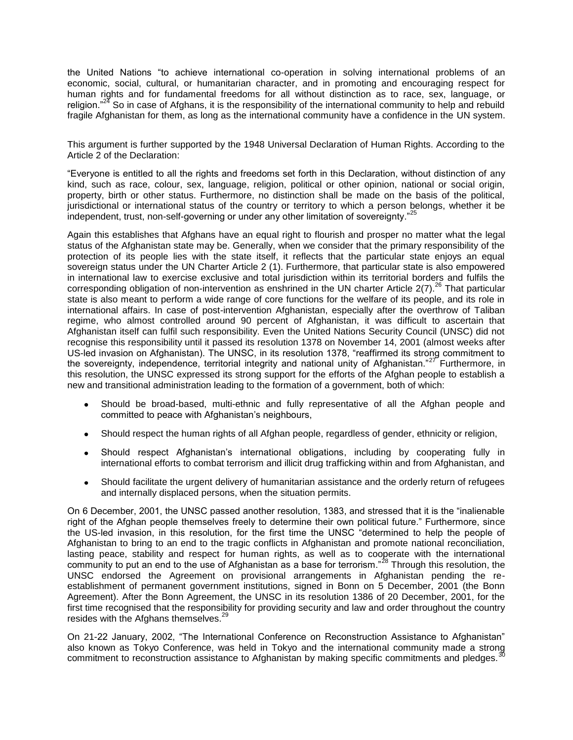the United Nations "to achieve international co-operation in solving international problems of an economic, social, cultural, or humanitarian character, and in promoting and encouraging respect for human rights and for fundamental freedoms for all without distinction as to race, sex, language, or religion.<sup>"24</sup> So in case of Afghans, it is the responsibility of the international community to help and rebuild fragile Afghanistan for them, as long as the international community have a confidence in the UN system.

This argument is further supported by the 1948 Universal Declaration of Human Rights. According to the Article 2 of the Declaration:

―Everyone is entitled to all the rights and freedoms set forth in this Declaration, without distinction of any kind, such as race, colour, sex, language, religion, political or other opinion, national or social origin, property, birth or other status. Furthermore, no distinction shall be made on the basis of the political, jurisdictional or international status of the country or territory to which a person belongs, whether it be independent, trust, non-self-governing or under any other limitation of sovereignty."<sup>25</sup>

Again this establishes that Afghans have an equal right to flourish and prosper no matter what the legal status of the Afghanistan state may be. Generally, when we consider that the primary responsibility of the protection of its people lies with the state itself, it reflects that the particular state enjoys an equal sovereign status under the UN Charter Article 2 (1). Furthermore, that particular state is also empowered in international law to exercise exclusive and total jurisdiction within its territorial borders and fulfils the corresponding obligation of non-intervention as enshrined in the UN charter Article  $2(7)$ .<sup>26</sup> That particular state is also meant to perform a wide range of core functions for the welfare of its people, and its role in international affairs. In case of post-intervention Afghanistan, especially after the overthrow of Taliban regime, who almost controlled around 90 percent of Afghanistan, it was difficult to ascertain that Afghanistan itself can fulfil such responsibility. Even the United Nations Security Council (UNSC) did not recognise this responsibility until it passed its resolution 1378 on November 14, 2001 (almost weeks after US-led invasion on Afghanistan). The UNSC, in its resolution 1378, "reaffirmed its strong commitment to the sovereignty, independence, territorial integrity and national unity of Afghanistan." $27$  Furthermore, in this resolution, the UNSC expressed its strong support for the efforts of the Afghan people to establish a new and transitional administration leading to the formation of a government, both of which:

- Should be broad-based, multi-ethnic and fully representative of all the Afghan people and  $\bullet$ committed to peace with Afghanistan's neighbours,
- Should respect the human rights of all Afghan people, regardless of gender, ethnicity or religion,  $\bullet$
- Should respect Afghanistan's international obligations, including by cooperating fully in  $\bullet$ international efforts to combat terrorism and illicit drug trafficking within and from Afghanistan, and
- Should facilitate the urgent delivery of humanitarian assistance and the orderly return of refugees and internally displaced persons, when the situation permits.

On 6 December, 2001, the UNSC passed another resolution, 1383, and stressed that it is the "inalienable" right of the Afghan people themselves freely to determine their own political future." Furthermore, since the US-led invasion, in this resolution, for the first time the UNSC "determined to help the people of Afghanistan to bring to an end to the tragic conflicts in Afghanistan and promote national reconciliation, lasting peace, stability and respect for human rights, as well as to cooperate with the international community to put an end to the use of Afghanistan as a base for terrorism."<sup>28</sup> Through this resolution, the UNSC endorsed the Agreement on provisional arrangements in Afghanistan pending the reestablishment of permanent government institutions, signed in Bonn on 5 December, 2001 (the Bonn Agreement). After the Bonn Agreement, the UNSC in its resolution 1386 of 20 December, 2001, for the first time recognised that the responsibility for providing security and law and order throughout the country resides with the Afghans themselves.<sup>29</sup>

On 21-22 January, 2002, "The International Conference on Reconstruction Assistance to Afghanistan" also known as Tokyo Conference, was held in Tokyo and the international community made a strong commitment to reconstruction assistance to Afghanistan by making specific commitments and pledges.<sup>3</sup>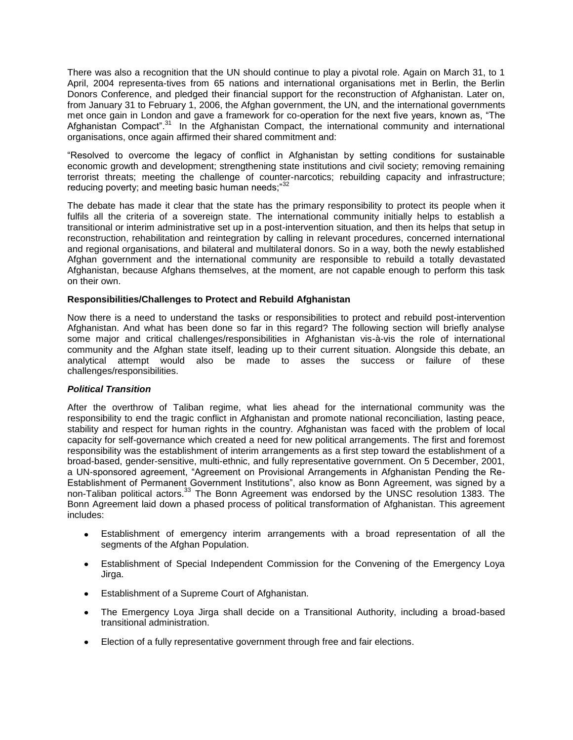There was also a recognition that the UN should continue to play a pivotal role. Again on March 31, to 1 April, 2004 representa-tives from 65 nations and international organisations met in Berlin, the Berlin Donors Conference, and pledged their financial support for the reconstruction of Afghanistan. Later on, from January 31 to February 1, 2006, the Afghan government, the UN, and the international governments met once gain in London and gave a framework for co-operation for the next five years, known as, "The Afghanistan Compact<sup>".31</sup> In the Afghanistan Compact, the international community and international organisations, once again affirmed their shared commitment and:

―Resolved to overcome the legacy of conflict in Afghanistan by setting conditions for sustainable economic growth and development; strengthening state institutions and civil society; removing remaining terrorist threats; meeting the challenge of counter-narcotics; rebuilding capacity and infrastructure; reducing poverty; and meeting basic human needs:"32

The debate has made it clear that the state has the primary responsibility to protect its people when it fulfils all the criteria of a sovereign state. The international community initially helps to establish a transitional or interim administrative set up in a post-intervention situation, and then its helps that setup in reconstruction, rehabilitation and reintegration by calling in relevant procedures, concerned international and regional organisations, and bilateral and multilateral donors. So in a way, both the newly established Afghan government and the international community are responsible to rebuild a totally devastated Afghanistan, because Afghans themselves, at the moment, are not capable enough to perform this task on their own.

## **Responsibilities/Challenges to Protect and Rebuild Afghanistan**

Now there is a need to understand the tasks or responsibilities to protect and rebuild post-intervention Afghanistan. And what has been done so far in this regard? The following section will briefly analyse some major and critical challenges/responsibilities in Afghanistan vis-à-vis the role of international community and the Afghan state itself, leading up to their current situation. Alongside this debate, an analytical attempt would also be made to asses the success or failure of these challenges/responsibilities.

## *Political Transition*

After the overthrow of Taliban regime, what lies ahead for the international community was the responsibility to end the tragic conflict in Afghanistan and promote national reconciliation, lasting peace, stability and respect for human rights in the country. Afghanistan was faced with the problem of local capacity for self-governance which created a need for new political arrangements. The first and foremost responsibility was the establishment of interim arrangements as a first step toward the establishment of a broad-based, gender-sensitive, multi-ethnic, and fully representative government. On 5 December, 2001, a UN-sponsored agreement, "Agreement on Provisional Arrangements in Afghanistan Pending the Re-Establishment of Permanent Government Institutions", also know as Bonn Agreement, was signed by a non-Taliban political actors.<sup>33</sup> The Bonn Agreement was endorsed by the UNSC resolution 1383. The Bonn Agreement laid down a phased process of political transformation of Afghanistan. This agreement includes:

- Establishment of emergency interim arrangements with a broad representation of all the segments of the Afghan Population.
- Establishment of Special Independent Commission for the Convening of the Emergency Loya Jirga.
- Establishment of a Supreme Court of Afghanistan.
- The Emergency Loya Jirga shall decide on a Transitional Authority, including a broad-based transitional administration.
- Election of a fully representative government through free and fair elections.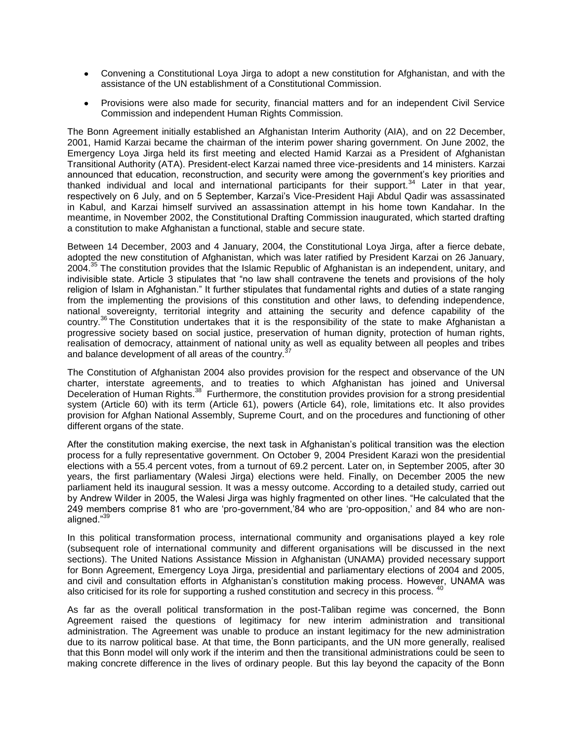- Convening a Constitutional Loya Jirga to adopt a new constitution for Afghanistan, and with the assistance of the UN establishment of a Constitutional Commission.
- Provisions were also made for security, financial matters and for an independent Civil Service Commission and independent Human Rights Commission.

The Bonn Agreement initially established an Afghanistan Interim Authority (AIA), and on 22 December, 2001, Hamid Karzai became the chairman of the interim power sharing government. On June 2002, the Emergency Loya Jirga held its first meeting and elected Hamid Karzai as a President of Afghanistan Transitional Authority (ATA). President-elect Karzai named three vice-presidents and 14 ministers. Karzai announced that education, reconstruction, and security were among the government's key priorities and thanked individual and local and international participants for their support. $34$  Later in that year, respectively on 6 July, and on 5 September, Karzai's Vice-President Haji Abdul Qadir was assassinated in Kabul, and Karzai himself survived an assassination attempt in his home town Kandahar. In the meantime, in November 2002, the Constitutional Drafting Commission inaugurated, which started drafting a constitution to make Afghanistan a functional, stable and secure state.

Between 14 December, 2003 and 4 January, 2004, the Constitutional Loya Jirga, after a fierce debate, adopted the new constitution of Afghanistan, which was later ratified by President Karzai on 26 January, 2004.<sup>35</sup> The constitution provides that the Islamic Republic of Afghanistan is an independent, unitary, and indivisible state. Article 3 stipulates that "no law shall contravene the tenets and provisions of the holy religion of Islam in Afghanistan.‖ It further stipulates that fundamental rights and duties of a state ranging from the implementing the provisions of this constitution and other laws, to defending independence, national sovereignty, territorial integrity and attaining the security and defence capability of the country.<sup>36</sup> The Constitution undertakes that it is the responsibility of the state to make Afghanistan a progressive society based on social justice, preservation of human dignity, protection of human rights, realisation of democracy, attainment of national unity as well as equality between all peoples and tribes and balance development of all areas of the country.<sup>3</sup>

The Constitution of Afghanistan 2004 also provides provision for the respect and observance of the UN charter, interstate agreements, and to treaties to which Afghanistan has joined and Universal Deceleration of Human Rights.<sup>38</sup> Furthermore, the constitution provides provision for a strong presidential system (Article 60) with its term (Article 61), powers (Article 64), role, limitations etc. It also provides provision for Afghan National Assembly, Supreme Court, and on the procedures and functioning of other different organs of the state.

After the constitution making exercise, the next task in Afghanistan's political transition was the election process for a fully representative government. On October 9, 2004 President Karazi won the presidential elections with a 55.4 percent votes, from a turnout of 69.2 percent. Later on, in September 2005, after 30 years, the first parliamentary (Walesi Jirga) elections were held. Finally, on December 2005 the new parliament held its inaugural session. It was a messy outcome. According to a detailed study, carried out by Andrew Wilder in 2005, the Walesi Jirga was highly fragmented on other lines. "He calculated that the 249 members comprise 81 who are 'pro-government,'84 who are 'pro-opposition,' and 84 who are nonaligned."<sup>39</sup>

In this political transformation process, international community and organisations played a key role (subsequent role of international community and different organisations will be discussed in the next sections). The United Nations Assistance Mission in Afghanistan (UNAMA) provided necessary support for Bonn Agreement, Emergency Loya Jirga, presidential and parliamentary elections of 2004 and 2005, and civil and consultation efforts in Afghanistan's constitution making process. However, UNAMA was also criticised for its role for supporting a rushed constitution and secrecy in this process.

As far as the overall political transformation in the post-Taliban regime was concerned, the Bonn Agreement raised the questions of legitimacy for new interim administration and transitional administration. The Agreement was unable to produce an instant legitimacy for the new administration due to its narrow political base. At that time, the Bonn participants, and the UN more generally, realised that this Bonn model will only work if the interim and then the transitional administrations could be seen to making concrete difference in the lives of ordinary people. But this lay beyond the capacity of the Bonn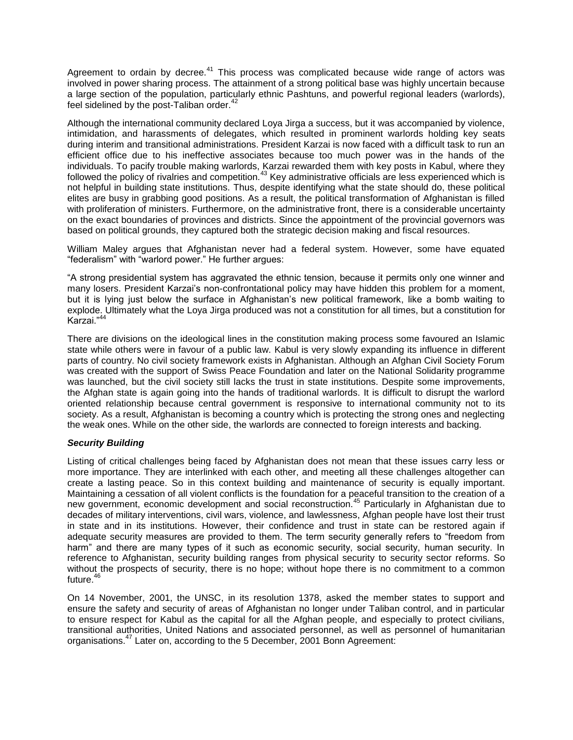Agreement to ordain by decree.<sup>41</sup> This process was complicated because wide range of actors was involved in power sharing process. The attainment of a strong political base was highly uncertain because a large section of the population, particularly ethnic Pashtuns, and powerful regional leaders (warlords), feel sidelined by the post-Taliban order. $42$ 

Although the international community declared Loya Jirga a success, but it was accompanied by violence, intimidation, and harassments of delegates, which resulted in prominent warlords holding key seats during interim and transitional administrations. President Karzai is now faced with a difficult task to run an efficient office due to his ineffective associates because too much power was in the hands of the individuals. To pacify trouble making warlords, Karzai rewarded them with key posts in Kabul, where they followed the policy of rivalries and competition.<sup>43</sup> Key administrative officials are less experienced which is not helpful in building state institutions. Thus, despite identifying what the state should do, these political elites are busy in grabbing good positions. As a result, the political transformation of Afghanistan is filled with proliferation of ministers. Furthermore, on the administrative front, there is a considerable uncertainty on the exact boundaries of provinces and districts. Since the appointment of the provincial governors was based on political grounds, they captured both the strategic decision making and fiscal resources.

William Maley argues that Afghanistan never had a federal system. However, some have equated "federalism" with "warlord power." He further argues:

"A strong presidential system has aggravated the ethnic tension, because it permits only one winner and many losers. President Karzai's non-confrontational policy may have hidden this problem for a moment, but it is lying just below the surface in Afghanistan's new political framework, like a bomb waiting to explode. Ultimately what the Loya Jirga produced was not a constitution for all times, but a constitution for Karzai."<sup>44</sup>

There are divisions on the ideological lines in the constitution making process some favoured an Islamic state while others were in favour of a public law. Kabul is very slowly expanding its influence in different parts of country. No civil society framework exists in Afghanistan. Although an Afghan Civil Society Forum was created with the support of Swiss Peace Foundation and later on the National Solidarity programme was launched, but the civil society still lacks the trust in state institutions. Despite some improvements, the Afghan state is again going into the hands of traditional warlords. It is difficult to disrupt the warlord oriented relationship because central government is responsive to international community not to its society. As a result, Afghanistan is becoming a country which is protecting the strong ones and neglecting the weak ones. While on the other side, the warlords are connected to foreign interests and backing.

## *Security Building*

Listing of critical challenges being faced by Afghanistan does not mean that these issues carry less or more importance. They are interlinked with each other, and meeting all these challenges altogether can create a lasting peace. So in this context building and maintenance of security is equally important. Maintaining a cessation of all violent conflicts is the foundation for a peaceful transition to the creation of a new government, economic development and social reconstruction.<sup>45</sup> Particularly in Afghanistan due to decades of military interventions, civil wars, violence, and lawlessness, Afghan people have lost their trust in state and in its institutions. However, their confidence and trust in state can be restored again if adequate security measures are provided to them. The term security generally refers to "freedom from harm" and there are many types of it such as economic security, social security, human security. In reference to Afghanistan, security building ranges from physical security to security sector reforms. So without the prospects of security, there is no hope; without hope there is no commitment to a common future.<sup>46</sup>

On 14 November, 2001, the UNSC, in its resolution 1378, asked the member states to support and ensure the safety and security of areas of Afghanistan no longer under Taliban control, and in particular to ensure respect for Kabul as the capital for all the Afghan people, and especially to protect civilians, transitional authorities, United Nations and associated personnel, as well as personnel of humanitarian organisations.<sup>47</sup> Later on, according to the 5 December, 2001 Bonn Agreement: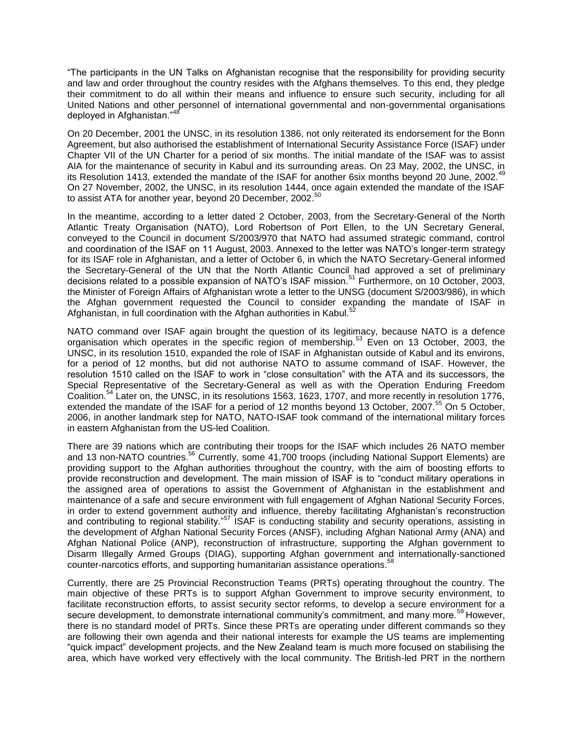―The participants in the UN Talks on Afghanistan recognise that the responsibility for providing security and law and order throughout the country resides with the Afghans themselves. To this end, they pledge their commitment to do all within their means and influence to ensure such security, including for all United Nations and other personnel of international governmental and non-governmental organisations deployed in Afghanistan."<sup>48</sup>

On 20 December, 2001 the UNSC, in its resolution 1386, not only reiterated its endorsement for the Bonn Agreement, but also authorised the establishment of International Security Assistance Force (ISAF) under Chapter VII of the UN Charter for a period of six months. The initial mandate of the ISAF was to assist AIA for the maintenance of security in Kabul and its surrounding areas. On 23 May, 2002, the UNSC, in its Resolution 1413, extended the mandate of the ISAF for another 6six months beyond 20 June, 2002.<sup>49</sup> On 27 November, 2002, the UNSC, in its resolution 1444, once again extended the mandate of the ISAF to assist ATA for another year, beyond 20 December, 2002.<sup>50</sup>

In the meantime, according to a letter dated 2 October, 2003, from the Secretary-General of the North Atlantic Treaty Organisation (NATO), Lord Robertson of Port Ellen, to the UN Secretary General, conveyed to the Council in document S/2003/970 that NATO had assumed strategic command, control and coordination of the ISAF on 11 August, 2003. Annexed to the letter was NATO's longer-term strategy for its ISAF role in Afghanistan, and a letter of October 6, in which the NATO Secretary-General informed the Secretary-General of the UN that the North Atlantic Council had approved a set of preliminary decisions related to a possible expansion of NATO's ISAF mission.<sup>51</sup> Furthermore, on 10 October, 2003, the Minister of Foreign Affairs of Afghanistan wrote a letter to the UNSG (document S/2003/986), in which the Afghan government requested the Council to consider expanding the mandate of ISAF in Afghanistan, in full coordination with the Afghan authorities in Kabul.<sup>5</sup>

NATO command over ISAF again brought the question of its legitimacy, because NATO is a defence organisation which operates in the specific region of membership.<sup>53</sup> Even on 13 October, 2003, the UNSC, in its resolution 1510, expanded the role of ISAF in Afghanistan outside of Kabul and its environs, for a period of 12 months, but did not authorise NATO to assume command of ISAF. However, the resolution 1510 called on the ISAF to work in "close consultation" with the ATA and its successors, the Special Representative of the Secretary-General as well as with the Operation Enduring Freedom Coalition.<sup>54</sup> Later on, the UNSC, in its resolutions 1563, 1623, 1707, and more recently in resolution 1776, extended the mandate of the ISAF for a period of 12 months beyond 13 October, 2007.<sup>55</sup> On 5 October, 2006, in another landmark step for NATO, NATO-ISAF took command of the international military forces in eastern Afghanistan from the US-led Coalition.

There are 39 nations which are contributing their troops for the ISAF which includes 26 NATO member and 13 non-NATO countries.<sup>56</sup> Currently, some 41,700 troops (including National Support Elements) are providing support to the Afghan authorities throughout the country, with the aim of boosting efforts to provide reconstruction and development. The main mission of ISAF is to "conduct military operations in the assigned area of operations to assist the Government of Afghanistan in the establishment and maintenance of a safe and secure environment with full engagement of Afghan National Security Forces, in order to extend government authority and influence, thereby facilitating Afghanistan's reconstruction and contributing to regional stability.<sup>"57</sup> ISAF is conducting stability and security operations, assisting in the development of Afghan National Security Forces (ANSF), including Afghan National Army (ANA) and Afghan National Police (ANP), reconstruction of infrastructure, supporting the Afghan government to Disarm Illegally Armed Groups (DIAG), supporting Afghan government and internationally-sanctioned counter-narcotics efforts, and supporting humanitarian assistance operations.<sup>58</sup>

Currently, there are 25 Provincial Reconstruction Teams (PRTs) operating throughout the country. The main objective of these PRTs is to support Afghan Government to improve security environment, to facilitate reconstruction efforts, to assist security sector reforms, to develop a secure environment for a secure development, to demonstrate international community's commitment, and many more.<sup>59</sup> However, there is no standard model of PRTs. Since these PRTs are operating under different commands so they are following their own agenda and their national interests for example the US teams are implementing ―quick impact‖ development projects, and the New Zealand team is much more focused on stabilising the area, which have worked very effectively with the local community. The British-led PRT in the northern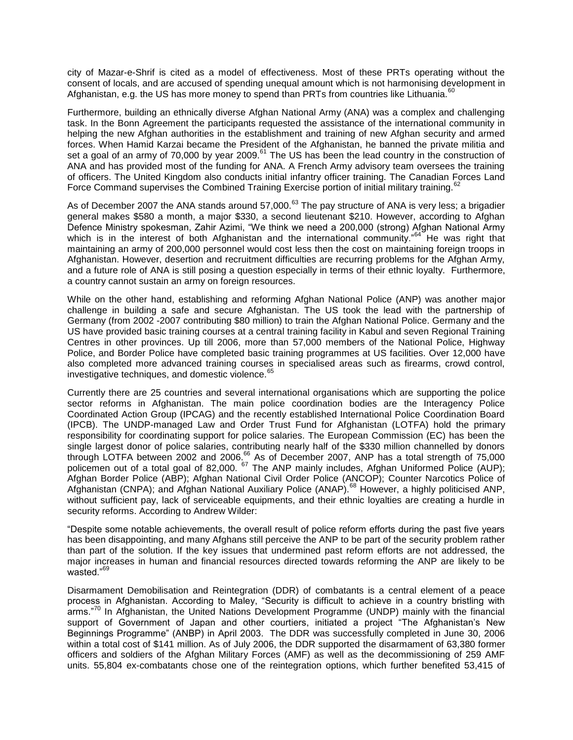city of Mazar-e-Shrif is cited as a model of effectiveness. Most of these PRTs operating without the consent of locals, and are accused of spending unequal amount which is not harmonising development in Afghanistan, e.g. the US has more money to spend than PRTs from countries like Lithuania.<sup>6</sup>

Furthermore, building an ethnically diverse Afghan National Army (ANA) was a complex and challenging task. In the Bonn Agreement the participants requested the assistance of the international community in helping the new Afghan authorities in the establishment and training of new Afghan security and armed forces. When Hamid Karzai became the President of the Afghanistan, he banned the private militia and set a goal of an army of 70,000 by year 2009. $^{61}$  The US has been the lead country in the construction of ANA and has provided most of the funding for ANA. A French Army advisory team oversees the training of officers. The United Kingdom also conducts initial infantry officer training. The Canadian Forces Land Force Command supervises the Combined Training Exercise portion of initial military training.<sup>62</sup>

As of December 2007 the ANA stands around 57,000.<sup>63</sup> The pay structure of ANA is very less; a brigadier general makes \$580 a month, a major \$330, a second lieutenant \$210. However, according to Afghan Defence Ministry spokesman, Zahir Azimi, "We think we need a 200,000 (strong) Afghan National Army which is in the interest of both Afghanistan and the international community.<sup> $n^{64}$ </sup> He was right that maintaining an army of 200,000 personnel would cost less then the cost on maintaining foreign troops in Afghanistan. However, desertion and recruitment difficulties are recurring problems for the Afghan Army, and a future role of ANA is still posing a question especially in terms of their ethnic loyalty. Furthermore, a country cannot sustain an army on foreign resources.

While on the other hand, establishing and reforming Afghan National Police (ANP) was another major challenge in building a safe and secure Afghanistan. The US took the lead with the partnership of Germany (from 2002 -2007 contributing \$80 million) to train the Afghan National Police. Germany and the US have provided basic training courses at a central training facility in Kabul and seven Regional Training Centres in other provinces. Up till 2006, more than 57,000 members of the National Police, Highway Police, and Border Police have completed basic training programmes at US facilities. Over 12,000 have also completed more advanced training courses in specialised areas such as firearms, crowd control, investigative techniques, and domestic violence.<sup>65</sup>

Currently there are 25 countries and several international organisations which are supporting the police sector reforms in Afghanistan. The main police coordination bodies are the Interagency Police Coordinated Action Group (IPCAG) and the recently established International Police Coordination Board (IPCB). The UNDP-managed Law and Order Trust Fund for Afghanistan (LOTFA) hold the primary responsibility for coordinating support for police salaries. The European Commission (EC) has been the single largest donor of police salaries, contributing nearly half of the \$330 million channelled by donors through LOTFA between 2002 and 2006.<sup>66</sup> As of December 2007, ANP has a total strength of 75,000 policemen out of a total goal of 82,000.  $^{67}$  The ANP mainly includes, Afghan Uniformed Police (AUP); Afghan Border Police (ABP); Afghan National Civil Order Police (ANCOP); Counter Narcotics Police of Afghanistan (CNPA); and Afghan National Auxiliary Police (ANAP).<sup>68</sup> However, a highly politicised ANP, without sufficient pay, lack of serviceable equipments, and their ethnic loyalties are creating a hurdle in security reforms. According to Andrew Wilder:

―Despite some notable achievements, the overall result of police reform efforts during the past five years has been disappointing, and many Afghans still perceive the ANP to be part of the security problem rather than part of the solution. If the key issues that undermined past reform efforts are not addressed, the major increases in human and financial resources directed towards reforming the ANP are likely to be wasted."<sup>69</sup>

Disarmament Demobilisation and Reintegration (DDR) of combatants is a central element of a peace process in Afghanistan. According to Maley, "Security is difficult to achieve in a country bristling with arms."<sup>70</sup> In Afghanistan, the United Nations Development Programme (UNDP) mainly with the financial support of Government of Japan and other courtiers, initiated a project "The Afghanistan's New Beginnings Programme" (ANBP) in April 2003. The DDR was successfully completed in June 30, 2006 within a total cost of \$141 million. As of July 2006, the DDR supported the disarmament of 63,380 former officers and soldiers of the Afghan Military Forces (AMF) as well as the decommissioning of 259 AMF units. 55,804 ex-combatants chose one of the reintegration options, which further benefited 53,415 of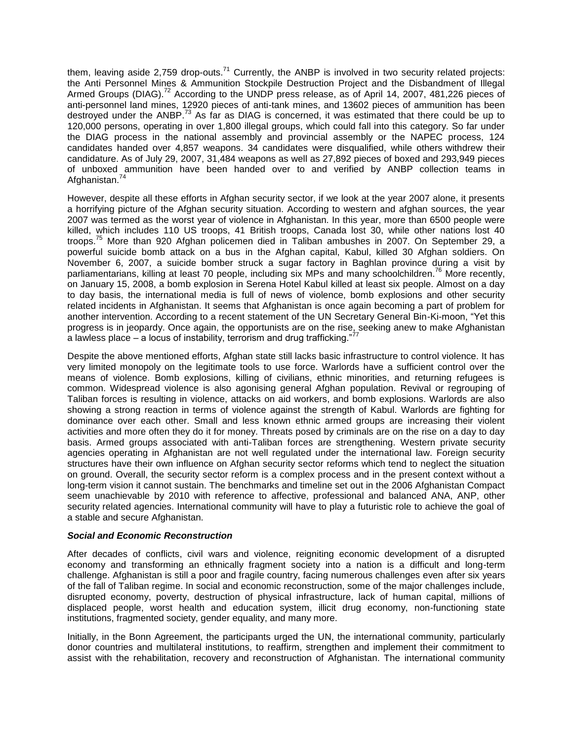them, leaving aside 2,759 drop-outs.<sup>71</sup> Currently, the ANBP is involved in two security related projects: the Anti Personnel Mines & Ammunition Stockpile Destruction Project and the Disbandment of Illegal Armed Groups (DIAG).<sup>72</sup> According to the UNDP press release, as of April 14, 2007, 481,226 pieces of anti-personnel land mines, 12920 pieces of anti-tank mines, and 13602 pieces of ammunition has been destroyed under the ANBP.<sup>73</sup> As far as DIAG is concerned, it was estimated that there could be up to 120,000 persons, operating in over 1,800 illegal groups, which could fall into this category. So far under the DIAG process in the national assembly and provincial assembly or the NAPEC process, 124 candidates handed over 4,857 weapons. 34 candidates were disqualified, while others withdrew their candidature. As of July 29, 2007, 31,484 weapons as well as 27,892 pieces of boxed and 293,949 pieces of unboxed ammunition have been handed over to and verified by ANBP collection teams in Afghanistan.<sup>74</sup>

However, despite all these efforts in Afghan security sector, if we look at the year 2007 alone, it presents a horrifying picture of the Afghan security situation. According to western and afghan sources, the year 2007 was termed as the worst year of violence in Afghanistan. In this year, more than 6500 people were killed, which includes 110 US troops, 41 British troops, Canada lost 30, while other nations lost 40 troops.<sup>75</sup> More than 920 Afghan policemen died in Taliban ambushes in 2007. On September 29, a powerful suicide bomb attack on a bus in the Afghan capital, Kabul, killed 30 Afghan soldiers. On November 6, 2007, a suicide bomber struck a sugar factory in Baghlan province during a visit by parliamentarians, killing at least 70 people, including six MPs and many schoolchildren.<sup>76</sup> More recently, on January 15, 2008, a bomb explosion in Serena Hotel Kabul killed at least six people. Almost on a day to day basis, the international media is full of news of violence, bomb explosions and other security related incidents in Afghanistan. It seems that Afghanistan is once again becoming a part of problem for another intervention. According to a recent statement of the UN Secretary General Bin-Ki-moon, "Yet this progress is in jeopardy. Once again, the opportunists are on the rise, seeking anew to make Afghanistan a lawless place – a locus of instability, terrorism and drug trafficking."

Despite the above mentioned efforts, Afghan state still lacks basic infrastructure to control violence. It has very limited monopoly on the legitimate tools to use force. Warlords have a sufficient control over the means of violence. Bomb explosions, killing of civilians, ethnic minorities, and returning refugees is common. Widespread violence is also agonising general Afghan population. Revival or regrouping of Taliban forces is resulting in violence, attacks on aid workers, and bomb explosions. Warlords are also showing a strong reaction in terms of violence against the strength of Kabul. Warlords are fighting for dominance over each other. Small and less known ethnic armed groups are increasing their violent activities and more often they do it for money. Threats posed by criminals are on the rise on a day to day basis. Armed groups associated with anti-Taliban forces are strengthening. Western private security agencies operating in Afghanistan are not well regulated under the international law. Foreign security structures have their own influence on Afghan security sector reforms which tend to neglect the situation on ground. Overall, the security sector reform is a complex process and in the present context without a long-term vision it cannot sustain. The benchmarks and timeline set out in the 2006 Afghanistan Compact seem unachievable by 2010 with reference to affective, professional and balanced ANA, ANP, other security related agencies. International community will have to play a futuristic role to achieve the goal of a stable and secure Afghanistan.

## *Social and Economic Reconstruction*

After decades of conflicts, civil wars and violence, reigniting economic development of a disrupted economy and transforming an ethnically fragment society into a nation is a difficult and long-term challenge. Afghanistan is still a poor and fragile country, facing numerous challenges even after six years of the fall of Taliban regime. In social and economic reconstruction, some of the major challenges include, disrupted economy, poverty, destruction of physical infrastructure, lack of human capital, millions of displaced people, worst health and education system, illicit drug economy, non-functioning state institutions, fragmented society, gender equality, and many more.

Initially, in the Bonn Agreement, the participants urged the UN, the international community, particularly donor countries and multilateral institutions, to reaffirm, strengthen and implement their commitment to assist with the rehabilitation, recovery and reconstruction of Afghanistan. The international community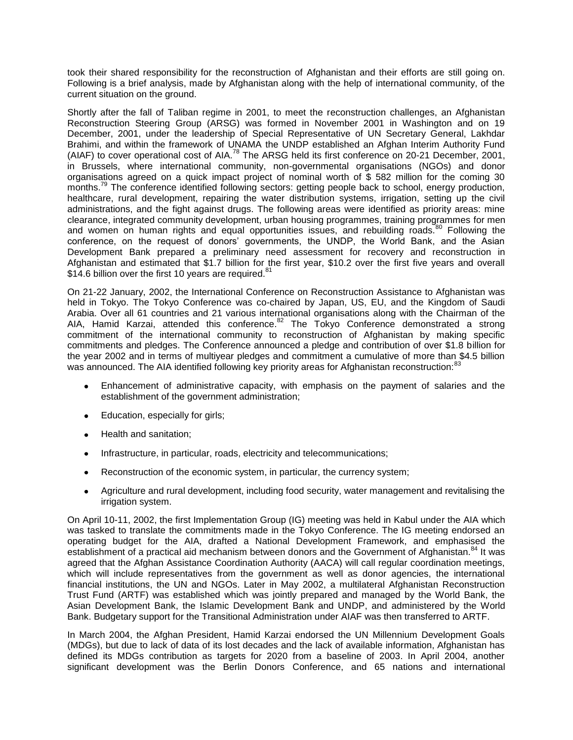took their shared responsibility for the reconstruction of Afghanistan and their efforts are still going on. Following is a brief analysis, made by Afghanistan along with the help of international community, of the current situation on the ground.

Shortly after the fall of Taliban regime in 2001, to meet the reconstruction challenges, an Afghanistan Reconstruction Steering Group (ARSG) was formed in November 2001 in Washington and on 19 December, 2001, under the leadership of Special Representative of UN Secretary General, Lakhdar Brahimi, and within the framework of UNAMA the UNDP established an Afghan Interim Authority Fund (AIAF) to cover operational cost of AIA.<sup>78</sup> The ARSG held its first conference on 20-21 December, 2001, in Brussels, where international community, non-governmental organisations (NGOs) and donor organisations agreed on a quick impact project of nominal worth of \$ 582 million for the coming 30 months.<sup>79</sup> The conference identified following sectors: getting people back to school, energy production, healthcare, rural development, repairing the water distribution systems, irrigation, setting up the civil administrations, and the fight against drugs. The following areas were identified as priority areas: mine clearance, integrated community development, urban housing programmes, training programmes for men and women on human rights and equal opportunities issues, and rebuilding roads.<sup>80</sup> Following the conference, on the request of donors' governments, the UNDP, the World Bank, and the Asian Development Bank prepared a preliminary need assessment for recovery and reconstruction in Afghanistan and estimated that \$1.7 billion for the first year, \$10.2 over the first five years and overall \$14.6 billion over the first 10 years are required.<sup>81</sup>

On 21-22 January, 2002, the International Conference on Reconstruction Assistance to Afghanistan was held in Tokyo. The Tokyo Conference was co-chaired by Japan, US, EU, and the Kingdom of Saudi Arabia. Over all 61 countries and 21 various international organisations along with the Chairman of the AIA, Hamid Karzai, attended this conference.<sup>82</sup> The Tokyo Conference demonstrated a strong commitment of the international community to reconstruction of Afghanistan by making specific commitments and pledges. The Conference announced a pledge and contribution of over \$1.8 billion for the year 2002 and in terms of multiyear pledges and commitment a cumulative of more than \$4.5 billion was announced. The AIA identified following key priority areas for Afghanistan reconstruction:<sup>83</sup>

- $\bullet$ Enhancement of administrative capacity, with emphasis on the payment of salaries and the establishment of the government administration;
- Education, especially for girls;  $\bullet$
- Health and sanitation;
- Infrastructure, in particular, roads, electricity and telecommunications;
- Reconstruction of the economic system, in particular, the currency system;  $\bullet$
- Agriculture and rural development, including food security, water management and revitalising the  $\bullet$ irrigation system.

On April 10-11, 2002, the first Implementation Group (IG) meeting was held in Kabul under the AIA which was tasked to translate the commitments made in the Tokyo Conference. The IG meeting endorsed an operating budget for the AIA, drafted a National Development Framework, and emphasised the establishment of a practical aid mechanism between donors and the Government of Afghanistan.<sup>84</sup> It was agreed that the Afghan Assistance Coordination Authority (AACA) will call regular coordination meetings, which will include representatives from the government as well as donor agencies, the international financial institutions, the UN and NGOs. Later in May 2002, a multilateral Afghanistan Reconstruction Trust Fund (ARTF) was established which was jointly prepared and managed by the World Bank, the Asian Development Bank, the Islamic Development Bank and UNDP, and administered by the World Bank. Budgetary support for the Transitional Administration under AIAF was then transferred to ARTF.

In March 2004, the Afghan President, Hamid Karzai endorsed the UN Millennium Development Goals (MDGs), but due to lack of data of its lost decades and the lack of available information, Afghanistan has defined its MDGs contribution as targets for 2020 from a baseline of 2003. In April 2004, another significant development was the Berlin Donors Conference, and 65 nations and international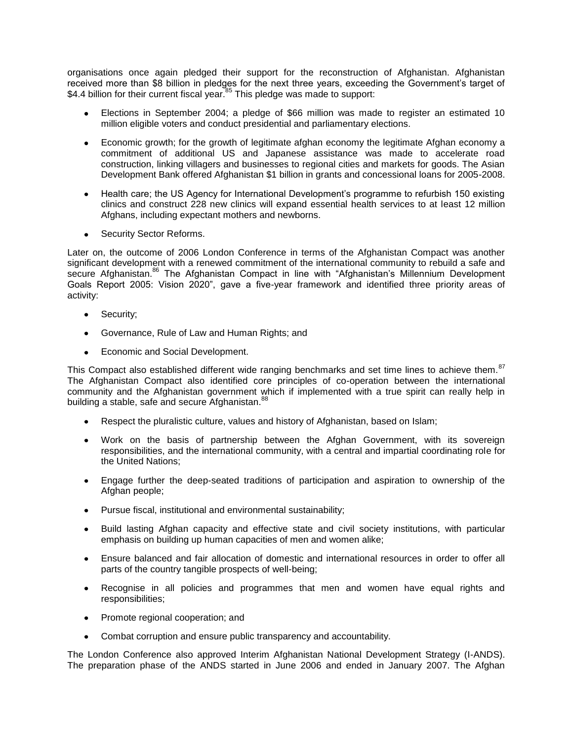organisations once again pledged their support for the reconstruction of Afghanistan. Afghanistan received more than \$8 billion in pledges for the next three years, exceeding the Government's target of \$4.4 billion for their current fiscal year.<sup>85</sup> This pledge was made to support:

- Elections in September 2004; a pledge of \$66 million was made to register an estimated 10 million eligible voters and conduct presidential and parliamentary elections.
- Economic growth; for the growth of legitimate afghan economy the legitimate Afghan economy a commitment of additional US and Japanese assistance was made to accelerate road construction, linking villagers and businesses to regional cities and markets for goods. The Asian Development Bank offered Afghanistan \$1 billion in grants and concessional loans for 2005-2008.
- Health care; the US Agency for International Development's programme to refurbish 150 existing clinics and construct 228 new clinics will expand essential health services to at least 12 million Afghans, including expectant mothers and newborns.
- Security Sector Reforms.

Later on, the outcome of 2006 London Conference in terms of the Afghanistan Compact was another significant development with a renewed commitment of the international community to rebuild a safe and secure Afghanistan.<sup>86</sup> The Afghanistan Compact in line with "Afghanistan's Millennium Development Goals Report 2005: Vision 2020", gave a five-year framework and identified three priority areas of activity:

- Security;
- Governance, Rule of Law and Human Rights; and
- Economic and Social Development.

This Compact also established different wide ranging benchmarks and set time lines to achieve them.<sup>87</sup> The Afghanistan Compact also identified core principles of co-operation between the international community and the Afghanistan government which if implemented with a true spirit can really help in building a stable, safe and secure Afghanistan.<sup>88</sup>

- Respect the pluralistic culture, values and history of Afghanistan, based on Islam;
- Work on the basis of partnership between the Afghan Government, with its sovereign responsibilities, and the international community, with a central and impartial coordinating role for the United Nations;
- $\bullet$ Engage further the deep-seated traditions of participation and aspiration to ownership of the Afghan people;
- Pursue fiscal, institutional and environmental sustainability;
- Build lasting Afghan capacity and effective state and civil society institutions, with particular  $\bullet$ emphasis on building up human capacities of men and women alike;
- $\bullet$ Ensure balanced and fair allocation of domestic and international resources in order to offer all parts of the country tangible prospects of well-being;
- Recognise in all policies and programmes that men and women have equal rights and  $\bullet$ responsibilities;
- Promote regional cooperation; and  $\bullet$
- $\bullet$ Combat corruption and ensure public transparency and accountability.

The London Conference also approved Interim Afghanistan National Development Strategy (I-ANDS). The preparation phase of the ANDS started in June 2006 and ended in January 2007. The Afghan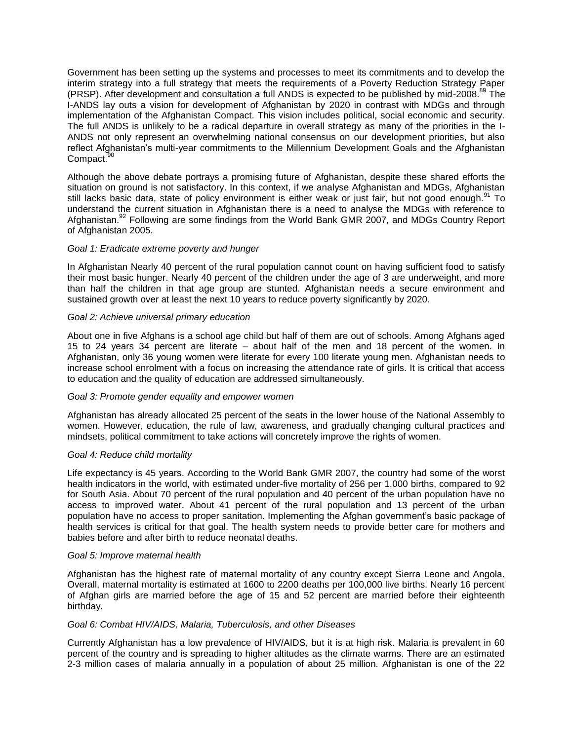Government has been setting up the systems and processes to meet its commitments and to develop the interim strategy into a full strategy that meets the requirements of a Poverty Reduction Strategy Paper (PRSP). After development and consultation a full ANDS is expected to be published by mid-2008.<sup>89</sup> The I-ANDS lay outs a vision for development of Afghanistan by 2020 in contrast with MDGs and through implementation of the Afghanistan Compact. This vision includes political, social economic and security. The full ANDS is unlikely to be a radical departure in overall strategy as many of the priorities in the I-ANDS not only represent an overwhelming national consensus on our development priorities, but also reflect Afghanistan's multi-year commitments to the Millennium Development Goals and the Afghanistan Compact.<sup>9</sup>

Although the above debate portrays a promising future of Afghanistan, despite these shared efforts the situation on ground is not satisfactory. In this context, if we analyse Afghanistan and MDGs, Afghanistan still lacks basic data, state of policy environment is either weak or just fair, but not good enough.<sup>91</sup> To understand the current situation in Afghanistan there is a need to analyse the MDGs with reference to Afghanistan.<sup>92</sup> Following are some findings from the World Bank GMR 2007, and MDGs Country Report of Afghanistan 2005.

## *Goal 1: Eradicate extreme poverty and hunger*

In Afghanistan Nearly 40 percent of the rural population cannot count on having sufficient food to satisfy their most basic hunger. Nearly 40 percent of the children under the age of 3 are underweight, and more than half the children in that age group are stunted. Afghanistan needs a secure environment and sustained growth over at least the next 10 years to reduce poverty significantly by 2020.

### *Goal 2: Achieve universal primary education*

About one in five Afghans is a school age child but half of them are out of schools. Among Afghans aged 15 to 24 years 34 percent are literate – about half of the men and 18 percent of the women. In Afghanistan, only 36 young women were literate for every 100 literate young men. Afghanistan needs to increase school enrolment with a focus on increasing the attendance rate of girls. It is critical that access to education and the quality of education are addressed simultaneously.

## *Goal 3: Promote gender equality and empower women*

Afghanistan has already allocated 25 percent of the seats in the lower house of the National Assembly to women. However, education, the rule of law, awareness, and gradually changing cultural practices and mindsets, political commitment to take actions will concretely improve the rights of women.

#### *Goal 4: Reduce child mortality*

Life expectancy is 45 years. According to the World Bank GMR 2007, the country had some of the worst health indicators in the world, with estimated under-five mortality of 256 per 1,000 births, compared to 92 for South Asia. About 70 percent of the rural population and 40 percent of the urban population have no access to improved water. About 41 percent of the rural population and 13 percent of the urban population have no access to proper sanitation. Implementing the Afghan government's basic package of health services is critical for that goal. The health system needs to provide better care for mothers and babies before and after birth to reduce neonatal deaths.

#### *Goal 5: Improve maternal health*

Afghanistan has the highest rate of maternal mortality of any country except Sierra Leone and Angola. Overall, maternal mortality is estimated at 1600 to 2200 deaths per 100,000 live births. Nearly 16 percent of Afghan girls are married before the age of 15 and 52 percent are married before their eighteenth birthday.

### *Goal 6: Combat HIV/AIDS, Malaria, Tuberculosis, and other Diseases*

Currently Afghanistan has a low prevalence of HIV/AIDS, but it is at high risk. Malaria is prevalent in 60 percent of the country and is spreading to higher altitudes as the climate warms. There are an estimated 2-3 million cases of malaria annually in a population of about 25 million. Afghanistan is one of the 22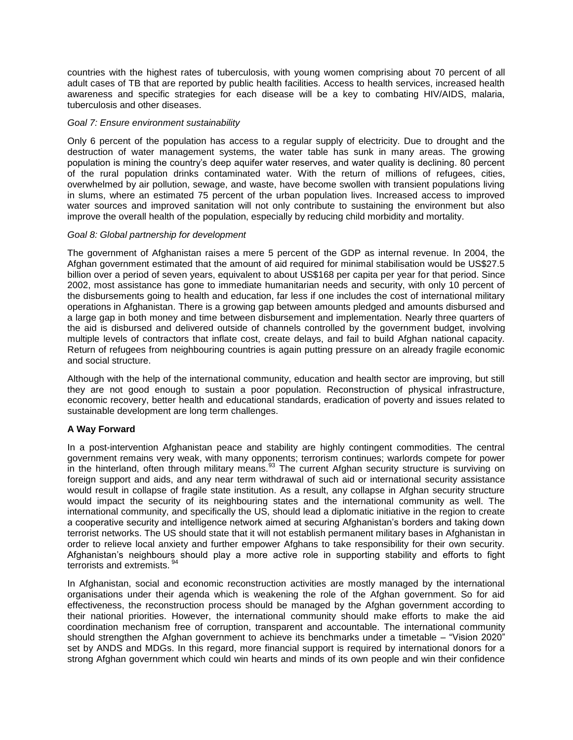countries with the highest rates of tuberculosis, with young women comprising about 70 percent of all adult cases of TB that are reported by public health facilities. Access to health services, increased health awareness and specific strategies for each disease will be a key to combating HIV/AIDS, malaria, tuberculosis and other diseases.

### *Goal 7: Ensure environment sustainability*

Only 6 percent of the population has access to a regular supply of electricity. Due to drought and the destruction of water management systems, the water table has sunk in many areas. The growing population is mining the country's deep aquifer water reserves, and water quality is declining. 80 percent of the rural population drinks contaminated water. With the return of millions of refugees, cities, overwhelmed by air pollution, sewage, and waste, have become swollen with transient populations living in slums, where an estimated 75 percent of the urban population lives. Increased access to improved water sources and improved sanitation will not only contribute to sustaining the environment but also improve the overall health of the population, especially by reducing child morbidity and mortality.

### *Goal 8: Global partnership for development*

The government of Afghanistan raises a mere 5 percent of the GDP as internal revenue. In 2004, the Afghan government estimated that the amount of aid required for minimal stabilisation would be US\$27.5 billion over a period of seven years, equivalent to about US\$168 per capita per year for that period. Since 2002, most assistance has gone to immediate humanitarian needs and security, with only 10 percent of the disbursements going to health and education, far less if one includes the cost of international military operations in Afghanistan. There is a growing gap between amounts pledged and amounts disbursed and a large gap in both money and time between disbursement and implementation. Nearly three quarters of the aid is disbursed and delivered outside of channels controlled by the government budget, involving multiple levels of contractors that inflate cost, create delays, and fail to build Afghan national capacity. Return of refugees from neighbouring countries is again putting pressure on an already fragile economic and social structure.

Although with the help of the international community, education and health sector are improving, but still they are not good enough to sustain a poor population. Reconstruction of physical infrastructure, economic recovery, better health and educational standards, eradication of poverty and issues related to sustainable development are long term challenges.

## **A Way Forward**

In a post-intervention Afghanistan peace and stability are highly contingent commodities. The central government remains very weak, with many opponents; terrorism continues; warlords compete for power in the hinterland, often through military means.<sup>93</sup> The current Afghan security structure is surviving on foreign support and aids, and any near term withdrawal of such aid or international security assistance would result in collapse of fragile state institution. As a result, any collapse in Afghan security structure would impact the security of its neighbouring states and the international community as well. The international community, and specifically the US, should lead a diplomatic initiative in the region to create a cooperative security and intelligence network aimed at securing Afghanistan's borders and taking down terrorist networks. The US should state that it will not establish permanent military bases in Afghanistan in order to relieve local anxiety and further empower Afghans to take responsibility for their own security. Afghanistan's neighbours should play a more active role in supporting stability and efforts to fight terrorists and extremists.<sup>94</sup>

In Afghanistan, social and economic reconstruction activities are mostly managed by the international organisations under their agenda which is weakening the role of the Afghan government. So for aid effectiveness, the reconstruction process should be managed by the Afghan government according to their national priorities. However, the international community should make efforts to make the aid coordination mechanism free of corruption, transparent and accountable. The international community should strengthen the Afghan government to achieve its benchmarks under a timetable – "Vision 2020" set by ANDS and MDGs. In this regard, more financial support is required by international donors for a strong Afghan government which could win hearts and minds of its own people and win their confidence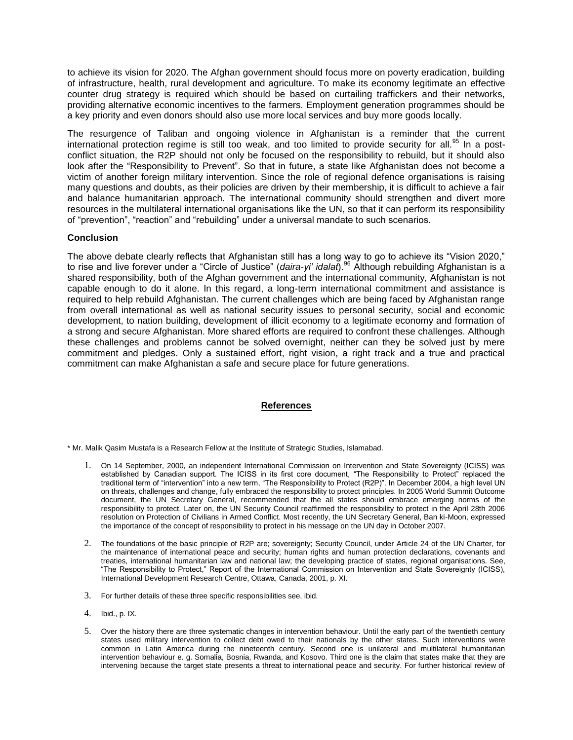to achieve its vision for 2020. The Afghan government should focus more on poverty eradication, building of infrastructure, health, rural development and agriculture. To make its economy legitimate an effective counter drug strategy is required which should be based on curtailing traffickers and their networks, providing alternative economic incentives to the farmers. Employment generation programmes should be a key priority and even donors should also use more local services and buy more goods locally.

The resurgence of Taliban and ongoing violence in Afghanistan is a reminder that the current international protection regime is still too weak, and too limited to provide security for all.<sup>95</sup> In a postconflict situation, the R2P should not only be focused on the responsibility to rebuild, but it should also look after the "Responsibility to Prevent". So that in future, a state like Afghanistan does not become a victim of another foreign military intervention. Since the role of regional defence organisations is raising many questions and doubts, as their policies are driven by their membership, it is difficult to achieve a fair and balance humanitarian approach. The international community should strengthen and divert more resources in the multilateral international organisations like the UN, so that it can perform its responsibility of "prevention", "reaction" and "rebuilding" under a universal mandate to such scenarios.

## **Conclusion**

The above debate clearly reflects that Afghanistan still has a long way to go to achieve its "Vision 2020," to rise and live forever under a "Circle of Justice" (*daira-yi' idalat*).<sup>96</sup> Although rebuilding Afghanistan is a shared responsibility, both of the Afghan government and the international community, Afghanistan is not capable enough to do it alone. In this regard, a long-term international commitment and assistance is required to help rebuild Afghanistan. The current challenges which are being faced by Afghanistan range from overall international as well as national security issues to personal security, social and economic development, to nation building, development of illicit economy to a legitimate economy and formation of a strong and secure Afghanistan. More shared efforts are required to confront these challenges. Although these challenges and problems cannot be solved overnight, neither can they be solved just by mere commitment and pledges. Only a sustained effort, right vision, a right track and a true and practical commitment can make Afghanistan a safe and secure place for future generations.

# **References**

\* Mr. Malik Qasim Mustafa is a Research Fellow at the Institute of Strategic Studies, Islamabad.

- 1. On 14 September, 2000, an independent International Commission on Intervention and State Sovereignty (ICISS) was established by Canadian support. The ICISS in its first core document, "The Responsibility to Protect" replaced the traditional term of "intervention" into a new term, "The Responsibility to Protect (R2P)". In December 2004, a high level UN on threats, challenges and change, fully embraced the responsibility to protect principles. In 2005 World Summit Outcome document, the UN Secretary General, recommended that the all states should embrace emerging norms of the responsibility to protect. Later on, the UN Security Council reaffirmed the responsibility to protect in the April 28th 2006 resolution on Protection of Civilians in Armed Conflict. Most recently, the UN Secretary General, Ban ki-Moon, expressed the importance of the concept of responsibility to protect in his message on the UN day in October 2007.
- 2. The foundations of the basic principle of R2P are; sovereignty; Security Council, under Article 24 of the UN Charter, for the maintenance of international peace and security; human rights and human protection declarations, covenants and treaties, international humanitarian law and national law; the developing practice of states, regional organisations. See, ―The Responsibility to Protect,‖ Report of the International Commission on Intervention and State Sovereignty (ICISS), International Development Research Centre, Ottawa, Canada, 2001, p. XI.
- 3. For further details of these three specific responsibilities see, ibid.
- 4. Ibid., p. IX.
- 5. Over the history there are three systematic changes in intervention behaviour. Until the early part of the twentieth century states used military intervention to collect debt owed to their nationals by the other states. Such interventions were common in Latin America during the nineteenth century. Second one is unilateral and multilateral humanitarian intervention behaviour e. g. Somalia, Bosnia, Rwanda, and Kosovo. Third one is the claim that states make that they are intervening because the target state presents a threat to international peace and security. For further historical review of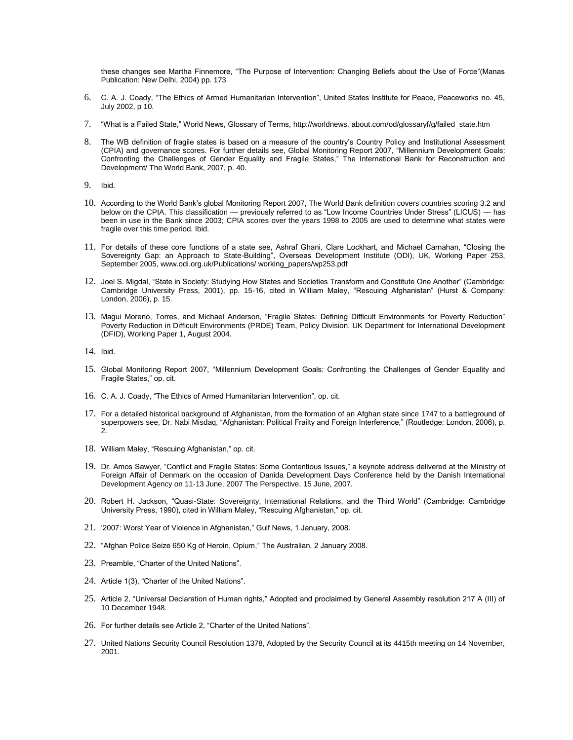these changes see Martha Finnemore, "The Purpose of Intervention: Changing Beliefs about the Use of Force"(Manas Publication: New Delhi, 2004) pp. 173

- 6. C. A. J. Coady, "The Ethics of Armed Humanitarian Intervention", United States Institute for Peace, Peaceworks no. 45, July 2002, p 10.
- 7. "What is a Failed State," World News, Glossary of Terms, http://worldnews. about.com/od/glossaryf/g/failed\_state.htm
- 8. The WB definition of fragile states is based on a measure of the country's Country Policy and Institutional Assessment (CPIA) and governance scores. For further details see, Global Monitoring Report 2007, "Millennium Development Goals: Confronting the Challenges of Gender Equality and Fragile States," The International Bank for Reconstruction and Development/ The World Bank, 2007, p. 40.
- 9. Ibid.
- 10. According to the World Bank's global Monitoring Report 2007, The World Bank definition covers countries scoring 3.2 and below on the CPIA. This classification — previously referred to as "Low Income Countries Under Stress" (LICUS) — has been in use in the Bank since 2003; CPIA scores over the years 1998 to 2005 are used to determine what states were fragile over this time period. Ibid.
- 11. For details of these core functions of a state see, Ashraf Ghani, Clare Lockhart, and Michael Carnahan, "Closing the Sovereignty Gap: an Approach to State-Building", Overseas Development Institute (ODI), UK, Working Paper 253, September 2005, www.odi.org.uk/Publications/ working\_papers/wp253.pdf
- 12. Joel S. Migdal, "State in Society: Studying How States and Societies Transform and Constitute One Another" (Cambridge: Cambridge University Press, 2001), pp. 15-16, cited in William Maley, "Rescuing Afghanistan" (Hurst & Company: London, 2006), p. 15.
- 13. Magui Moreno, Torres, and Michael Anderson, "Fragile States: Defining Difficult Environments for Poverty Reduction" Poverty Reduction in Difficult Environments (PRDE) Team, Policy Division, UK Department for International Development (DFID), Working Paper 1, August 2004.

14. Ibid.

- 15. Global Monitoring Report 2007, "Millennium Development Goals: Confronting the Challenges of Gender Equality and Fragile States," op. cit.
- 16. C. A. J. Coady, "The Ethics of Armed Humanitarian Intervention", op. cit.
- 17. For a detailed historical background of Afghanistan, from the formation of an Afghan state since 1747 to a battleground of superpowers see, Dr. Nabi Misdaq, "Afghanistan: Political Frailty and Foreign Interference," (Routledge: London, 2006), p.  $\mathcal{L}$
- 18. William Maley, "Rescuing Afghanistan," op. cit.
- 19. Dr. Amos Sawyer, "Conflict and Fragile States: Some Contentious Issues," a keynote address delivered at the Ministry of Foreign Affair of Denmark on the occasion of Danida Development Days Conference held by the Danish International Development Agency on 11-13 June, 2007 The Perspective, 15 June, 2007.
- 20. Robert H. Jackson, "Quasi-State: Sovereignty, International Relations, and the Third World" (Cambridge: Cambridge University Press, 1990), cited in William Maley, "Rescuing Afghanistan," op. cit.
- 21. ‗2007: Worst Year of Violence in Afghanistan,‖ Gulf News, 1 January, 2008.
- 22. "Afghan Police Seize 650 Kg of Heroin, Opium," The Australian, 2 January 2008.
- 23. Preamble, "Charter of the United Nations".
- 24. Article 1(3), "Charter of the United Nations".
- 25. Article 2, "Universal Declaration of Human rights," Adopted and proclaimed by General Assembly resolution 217 A (III) of 10 December 1948.
- 26. For further details see Article 2, "Charter of the United Nations".
- 27. United Nations Security Council Resolution 1378, Adopted by the Security Council at its 4415th meeting on 14 November, 2001.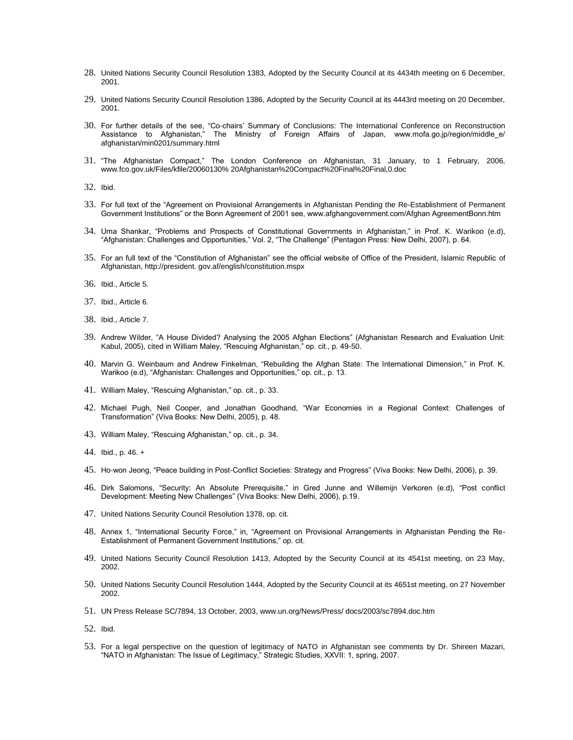- 28. United Nations Security Council Resolution 1383, Adopted by the Security Council at its 4434th meeting on 6 December, 2001.
- 29. United Nations Security Council Resolution 1386, Adopted by the Security Council at its 4443rd meeting on 20 December, 2001.
- 30. For further details of the see, "Co-chairs' Summary of Conclusions: The International Conference on Reconstruction Assistance to Afghanistan," The Ministry of Foreign Affairs of Japan, www.mofa.go.jp/region/middle\_e/ afghanistan/min0201/summary.html
- 31. ―The Afghanistan Compact,‖ The London Conference on Afghanistan, 31 January, to 1 February, 2006, www.fco.gov.uk/Files/kfile/20060130% 20Afghanistan%20Compact%20Final%20Final,0.doc
- 32. Ibid.
- 33. For full text of the "Agreement on Provisional Arrangements in Afghanistan Pending the Re-Establishment of Permanent Government Institutions" or the Bonn Agreement of 2001 see, www.afghangovernment.com/Afghan AgreementBonn.htm
- 34. Uma Shankar, "Problems and Prospects of Constitutional Governments in Afghanistan," in Prof. K. Warikoo (e.d), "Afghanistan: Challenges and Opportunities," Vol. 2, "The Challenge" (Pentagon Press: New Delhi, 2007), p. 64.
- 35. For an full text of the "Constitution of Afghanistan" see the official website of Office of the President, Islamic Republic of Afghanistan, http://president. gov.af/english/constitution.mspx
- 36. Ibid., Article 5.
- 37. Ibid., Article 6.
- 38. Ibid., Article 7.
- 39. Andrew Wilder, "A House Divided? Analysing the 2005 Afghan Elections" (Afghanistan Research and Evaluation Unit: Kabul, 2005), cited in William Maley, "Rescuing Afghanistan," op. cit., p. 49-50.
- 40. Marvin G. Weinbaum and Andrew Finkelman, "Rebuilding the Afghan State: The International Dimension," in Prof. K. Warikoo (e.d), "Afghanistan: Challenges and Opportunities," op. cit., p. 13.
- 41. William Maley, "Rescuing Afghanistan," op. cit., p. 33.
- 42. Michael Pugh, Neil Cooper, and Jonathan Goodhand, "War Economies in a Regional Context: Challenges of Transformation‖ (Viva Books: New Delhi, 2005), p. 48.
- 43. William Maley, "Rescuing Afghanistan," op. cit., p. 34.
- 44. Ibid., p. 46. +
- 45. Ho-won Jeong, "Peace building in Post-Conflict Societies: Strategy and Progress" (Viva Books: New Delhi, 2006), p. 39.
- 46. Dirk Salomons, "Security: An Absolute Prerequisite," in Gred Junne and Willemijn Verkoren (e.d), "Post conflict Development: Meeting New Challenges" (Viva Books: New Delhi, 2006), p.19.
- 47. United Nations Security Council Resolution 1378, op. cit.
- 48. Annex 1, "International Security Force," in, "Agreement on Provisional Arrangements in Afghanistan Pending the Re-Establishment of Permanent Government Institutions," op. cit.
- 49. United Nations Security Council Resolution 1413, Adopted by the Security Council at its 4541st meeting, on 23 May, 2002.
- 50. United Nations Security Council Resolution 1444, Adopted by the Security Council at its 4651st meeting, on 27 November 2002.
- 51. UN Press Release SC/7894, 13 October, 2003, www.un.org/News/Press/ docs/2003/sc7894.doc.htm
- 52. Ibid.
- 53. For a legal perspective on the question of legitimacy of NATO in Afghanistan see comments by Dr. Shireen Mazari, ―NATO in Afghanistan: The Issue of Legitimacy,‖ Strategic Studies, XXVII: 1, spring, 2007.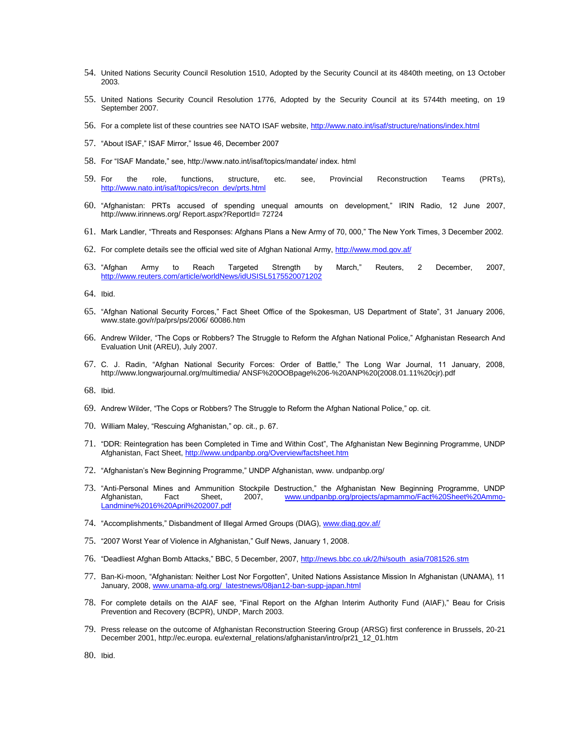- 54. United Nations Security Council Resolution 1510, Adopted by the Security Council at its 4840th meeting, on 13 October 2003.
- 55. United Nations Security Council Resolution 1776, Adopted by the Security Council at its 5744th meeting, on 19 September 2007.
- 56. For a complete list of these countries see NATO ISAF website,<http://www.nato.int/isaf/structure/nations/index.html>
- 57. "About ISAF," ISAF Mirror," Issue 46, December 2007
- 58. For "ISAF Mandate," see, http://www.nato.int/isaf/topics/mandate/ index. html
- 59. For the role, functions, structure, etc. see, Provincial Reconstruction Teams (PRTs), [http://www.nato.int/isaf/topics/recon\\_dev/prts.html](http://www.nato.int/isaf/topics/recon_dev/prts.html)
- 60. ―Afghanistan: PRTs accused of spending unequal amounts on development,‖ IRIN Radio, 12 June 2007, http://www.irinnews.org/ Report.aspx?ReportId= 72724
- 61. Mark Landler, "Threats and Responses: Afghans Plans a New Army of 70, 000," The New York Times, 3 December 2002.
- 62. For complete details see the official wed site of Afghan National Army[, http://www.mod.gov.af/](http://www.mod.gov.af/)
- 63. "Afghan Army to Reach Targeted Strength by March," Reuters, 2 December, 2007, <http://www.reuters.com/article/worldNews/idUSISL5175520071202>
- 64. Ibid.
- 65. "Afghan National Security Forces," Fact Sheet Office of the Spokesman, US Department of State", 31 January 2006, www.state.gov/r/pa/prs/ps/2006/ 60086.htm
- 66. Andrew Wilder, "The Cops or Robbers? The Struggle to Reform the Afghan National Police," Afghanistan Research And Evaluation Unit (AREU), July 2007.
- 67. C. J. Radin, "Afghan National Security Forces: Order of Battle," The Long War Journal, 11 January, 2008, http://www.longwarjournal.org/multimedia/ ANSF%20OOBpage%206-%20ANP%20(2008.01.11%20cjr).pdf
- 68. Ibid.
- 69. Andrew Wilder, "The Cops or Robbers? The Struggle to Reform the Afghan National Police," op. cit.
- 70. William Maley, "Rescuing Afghanistan," op. cit., p. 67.
- 71. ―DDR: Reintegration has been Completed in Time and Within Cost‖, The Afghanistan New Beginning Programme, UNDP Afghanistan, Fact Sheet,<http://www.undpanbp.org/Overview/factsheet.htm>
- 72. "Afghanistan's New Beginning Programme," UNDP Afghanistan, www. undpanbp.org/
- T3. "Anti-Personal Mines and Ammunition Stockpile Destruction," the Afghanistan New Beginning Programme, UNDP<br>Afghanistan, Fact Sheet, 2007, www.undpanbp.org/projects/apmammo/Fact%20Sheet%20AmmoFact Sheet, 2007, [www.undpanbp.org/projects/apmammo/Fact%20Sheet%20Ammo-](http://www.undpanbp.org/projects/apmammo/Fact%20Sheet%20Ammo-Landmine%2016%20April%202007.pdf)[Landmine%2016%20April%202007.pdf](http://www.undpanbp.org/projects/apmammo/Fact%20Sheet%20Ammo-Landmine%2016%20April%202007.pdf)
- 74. "Accomplishments," Disbandment of Illegal Armed Groups (DIAG)[, www.diag.gov.af/](http://www.diag.gov.af/)
- 75. "2007 Worst Year of Violence in Afghanistan," Gulf News, January 1, 2008.
- 76. "Deadliest Afghan Bomb Attacks," BBC, 5 December, 2007[, http://news.bbc.co.uk/2/hi/south\\_asia/7081526.stm](http://news.bbc.co.uk/2/hi/south_asia/7081526.stm)
- 77. Ban-Ki-moon, "Afghanistan: Neither Lost Nor Forgotten", United Nations Assistance Mission In Afghanistan (UNAMA), 11 January, 2008, [www.unama-afg.org/\\_latestnews/08jan12-ban-supp-japan.html](http://www.unama-afg.org/_latestnews/08jan12-ban-supp-japan.html)
- 78. For complete details on the AIAF see, "Final Report on the Afghan Interim Authority Fund (AIAF)," Beau for Crisis Prevention and Recovery (BCPR), UNDP, March 2003.
- 79. Press release on the outcome of Afghanistan Reconstruction Steering Group (ARSG) first conference in Brussels, 20-21 December 2001, http://ec.europa. eu/external\_relations/afghanistan/intro/pr21\_12\_01.htm

80. Ibid.